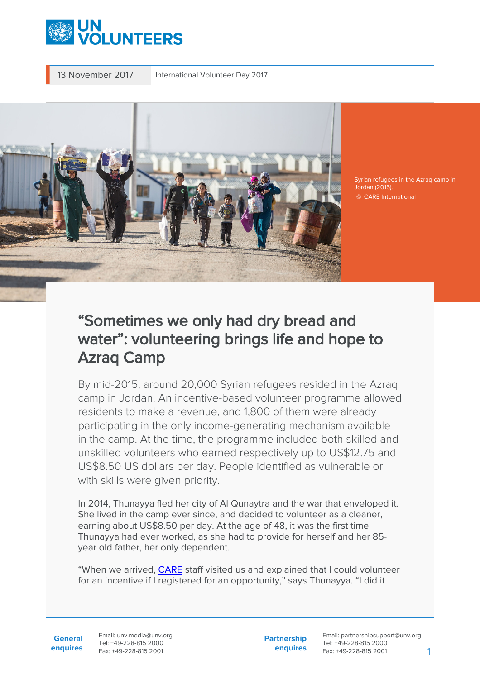

13 November 2017 International Volunteer Day 2017



Syrian refugees in the Azraq camp in Jordan (2015). © CARE International

## "Sometimes we only had dry bread and water": volunteering brings life and hope to Azraq Camp

By mid-2015, around 20,000 Syrian refugees resided in the Azraq camp in Jordan. An incentive-based volunteer programme allowed residents to make a revenue, and 1,800 of them were already participating in the only income-generating mechanism available in the camp. At the time, the programme included both skilled and unskilled volunteers who earned respectively up to US\$12.75 and US\$8.50 US dollars per day. People identified as vulnerable or with skills were given priority.

In 2014, Thunayya fled her city of Al Qunaytra and the war that enveloped it. She lived in the camp ever since, and decided to volunteer as a cleaner, earning about US\$8.50 per day. At the age of 48, it was the first time Thunayya had ever worked, as she had to provide for herself and her 85 year old father, her only dependent.

"When we arrived, [CARE](https://www.care.org/country/jordan) staff visited us and explained that I could volunteer for an incentive if I registered for an opportunity," says Thunayya. "I did it

**General enquires** Email: unv.media@unv.org Tel: +49-228-815 2000 Fax: +49-228-815 2001

**Partnership enquires** Email: partnershipsupport@unv.org Tel: +49-228-815 2000 Fax: +49-228-815 2001 1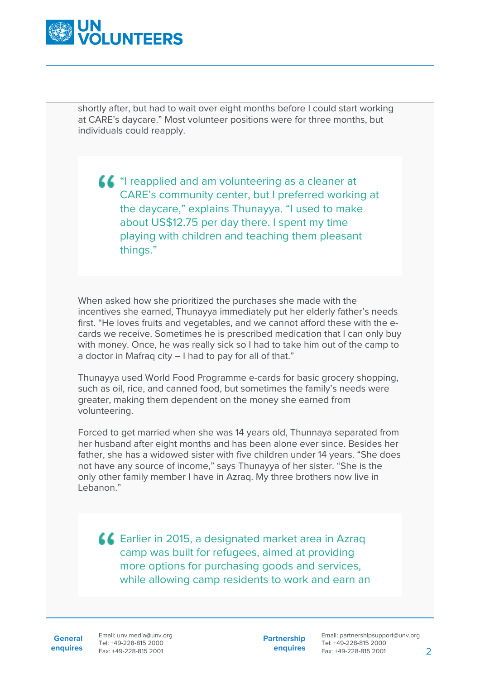

shortly after, but had to wait over eight months before I could start working at CARE's daycare." Most volunteer positions were for three months, but individuals could reapply.

"I reapplied and am volunteering as a cleaner at CARE's community center, but I preferred working at the daycare," explains Thunayya. "I used to make about US\$12.75 per day there. I spent my time playing with children and teaching them pleasant things."

When asked how she prioritized the purchases she made with the incentives she earned, Thunayya immediately put her elderly father's needs first. "He loves fruits and vegetables, and we cannot afford these with the ecards we receive. Sometimes he is prescribed medication that I can only buy with money. Once, he was really sick so I had to take him out of the camp to a doctor in Mafraq city – I had to pay for all of that."

Thunayya used World Food Programme e-cards for basic grocery shopping, such as oil, rice, and canned food, but sometimes the family's needs were greater, making them dependent on the money she earned from volunteering.

Forced to get married when she was 14 years old, Thunnaya separated from her husband after eight months and has been alone ever since. Besides her father, she has a widowed sister with five children under 14 years. "She does not have any source of income," says Thunayya of her sister. "She is the only other family member I have in Azraq. My three brothers now live in Lebanon."

Earlier in 2015, a designated market area in Azraq camp was built for refugees, aimed at providing more options for purchasing goods and services, while allowing camp residents to work and earn an

**General**

**enquires** Fax: +49-228-815 2001 Email: unv.media@unv.org Tel: +49-228-815 2000

**Partnership enquires**

Email: partnershipsupport@unv.org Tel: +49-228-815 2000 Fax: +49-228-815 2001 2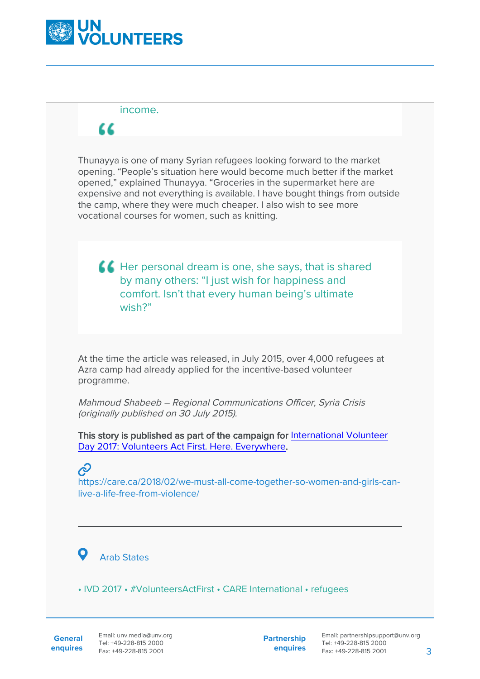

## income.

## "

Thunayya is one of many Syrian refugees looking forward to the market opening. "People's situation here would become much better if the market opened," explained Thunayya. "Groceries in the supermarket here are expensive and not everything is available. I have bought things from outside the camp, where they were much cheaper. I also wish to see more vocational courses for women, such as knitting.

**A Her personal dream is one, she says, that is shared** by many others: "I just wish for happiness and comfort. Isn't that every human being's ultimate wish?"

At the time the article was released, in July 2015, over 4,000 refugees at Azra camp had already applied for the incentive-based volunteer programme.

Mahmoud Shabeeb – Regional Communications Officer, Syria Crisis (originally published on 30 July 2015).

This story is published as part of the campaign for [International Volunteer](https://www.unv.org/internationalvolunteerday2017) [Day 2017: Volunteers Act First. Here. Everywhere.](https://www.unv.org/internationalvolunteerday2017)

## Ė

https://care.ca/2018/02/we-must-all-come-together-so-women-and-girls-canlive-a-life-free-from-violence/

 $\mathbf{o}$ Arab States

• IVD 2017 • #VolunteersActFirst • CARE International • refugees

**Partnership enquires**